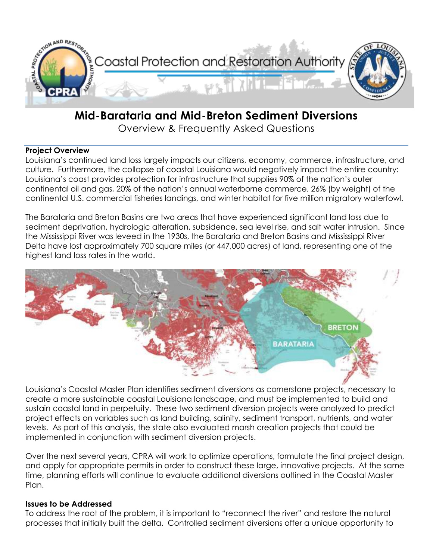

# **Mid-Barataria and Mid-Breton Sediment Diversions**

Overview & Frequently Asked Questions

#### **Project Overview**

Louisiana's continued land loss largely impacts our citizens, economy, commerce, infrastructure, and culture. Furthermore, the collapse of coastal Louisiana would negatively impact the entire country: Louisiana's coast provides protection for infrastructure that supplies 90% of the nation's outer continental oil and gas, 20% of the nation's annual waterborne commerce, 26% (by weight) of the continental U.S. commercial fisheries landings, and winter habitat for five million migratory waterfowl.

The Barataria and Breton Basins are two areas that have experienced significant land loss due to sediment deprivation, hydrologic alteration, subsidence, sea level rise, and salt water intrusion. Since the Mississippi River was leveed in the 1930s, the Barataria and Breton Basins and Mississippi River Delta have lost approximately 700 square miles (or 447,000 acres) of land, representing one of the highest land loss rates in the world.



Louisiana's Coastal Master Plan identifies sediment diversions as cornerstone projects, necessary to create a more sustainable coastal Louisiana landscape, and must be implemented to build and sustain coastal land in perpetuity. These two sediment diversion projects were analyzed to predict project effects on variables such as land building, salinity, sediment transport, nutrients, and water levels. As part of this analysis, the state also evaluated marsh creation projects that could be implemented in conjunction with sediment diversion projects.

Over the next several years, CPRA will work to optimize operations, formulate the final project design, and apply for appropriate permits in order to construct these large, innovative projects. At the same time, planning efforts will continue to evaluate additional diversions outlined in the Coastal Master Plan.

## **Issues to be Addressed**

To address the root of the problem, it is important to "reconnect the river" and restore the natural processes that initially built the delta. Controlled sediment diversions offer a unique opportunity to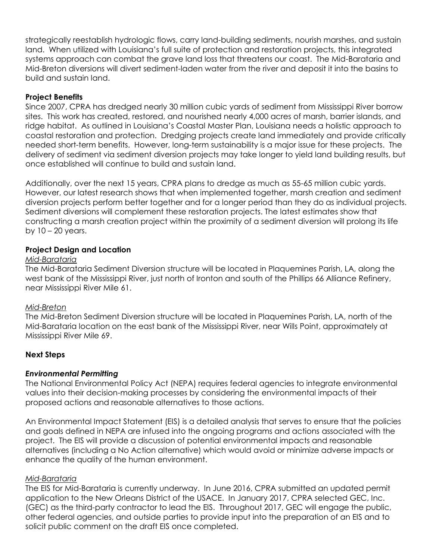strategically reestablish hydrologic flows, carry land-building sediments, nourish marshes, and sustain land. When utilized with Louisiana's full suite of protection and restoration projects, this integrated systems approach can combat the grave land loss that threatens our coast. The Mid-Barataria and Mid-Breton diversions will divert sediment-laden water from the river and deposit it into the basins to build and sustain land.

## **Project Benefits**

Since 2007, CPRA has dredged nearly 30 million cubic yards of sediment from Mississippi River borrow sites. This work has created, restored, and nourished nearly 4,000 acres of marsh, barrier islands, and ridge habitat. As outlined in Louisiana's Coastal Master Plan, Louisiana needs a holistic approach to coastal restoration and protection. Dredging projects create land immediately and provide critically needed short-term benefits. However, long-term sustainability is a major issue for these projects. The delivery of sediment via sediment diversion projects may take longer to yield land building results, but once established will continue to build and sustain land.

Additionally, over the next 15 years, CPRA plans to dredge as much as 55-65 million cubic yards. However, our latest research shows that when implemented together, marsh creation and sediment diversion projects perform better together and for a longer period than they do as individual projects. Sediment diversions will complement these restoration projects. The latest estimates show that constructing a marsh creation project within the proximity of a sediment diversion will prolong its life by  $10 - 20$  years.

## **Project Design and Location**

#### *Mid-Barataria*

The Mid-Barataria Sediment Diversion structure will be located in Plaquemines Parish, LA, along the west bank of the Mississippi River, just north of Ironton and south of the Phillips 66 Alliance Refinery, near Mississippi River Mile 61.

#### *Mid-Breton*

The Mid-Breton Sediment Diversion structure will be located in Plaquemines Parish, LA, north of the Mid-Barataria location on the east bank of the Mississippi River, near Wills Point, approximately at Mississippi River Mile 69.

## **Next Steps**

## *Environmental Permitting*

The National Environmental Policy Act (NEPA) requires federal agencies to integrate environmental values into their decision-making processes by considering the environmental impacts of their proposed actions and reasonable alternatives to those actions.

An Environmental Impact Statement (EIS) is a detailed analysis that serves to ensure that the policies and goals defined in NEPA are infused into the ongoing programs and actions associated with the project. The EIS will provide a discussion of potential environmental impacts and reasonable alternatives (including a No Action alternative) which would avoid or minimize adverse impacts or enhance the quality of the human environment.

## *Mid-Barataria*

The EIS for Mid-Barataria is currently underway. In June 2016, CPRA submitted an updated permit application to the New Orleans District of the USACE. In January 2017, CPRA selected GEC, Inc. (GEC) as the third-party contractor to lead the EIS. Throughout 2017, GEC will engage the public, other federal agencies, and outside parties to provide input into the preparation of an EIS and to solicit public comment on the draft EIS once completed.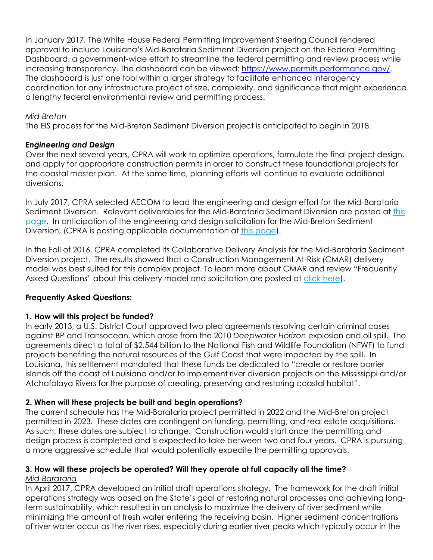In January 2017, The White House Federal Permitting Improvement Steering Council rendered approval to include Louisiana's Mid-Barataria Sediment Diversion project on the Federal Permitting Dashboard, a government-wide effort to streamline the federal permitting and review process while increasing transparency. The dashboard can be viewed: [https://www.permits.performance.gov/.](https://www.permits.performance.gov/) The dashboard is just one tool within a larger strategy to facilitate enhanced interagency coordination for any infrastructure project of size, complexity, and significance that might experience a lengthy federal environmental review and permitting process.

## *Mid-Breton*

The EIS process for the Mid-Breton Sediment Diversion project is anticipated to begin in 2018.

## *Engineering and Design*

Over the next several years, CPRA will work to optimize operations, formulate the final project design, and apply for appropriate construction permits in order to construct these foundational projects for the coastal master plan. At the same time, planning efforts will continue to evaluate additional diversions.

In July 2017, CPRA selected AECOM to lead the engineering and design effort for the Mid-Barataria Sediment Diversion. Relevant deliverables for the Mid-Barataria Sediment Diversion are posted at [this](http://coastal.la.gov/mid-barataria-sediment-diversion-draft-30-deliverables/) [page.](http://coastal.la.gov/mid-barataria-sediment-diversion-draft-30-deliverables/) In anticipation of the engineering and design solicitation for the Mid-Breton Sediment Diversion, (CPRA is posting applicable documentation at this [page\)](http://coastal.la.gov/mid-breton-existing-documents/).

In the Fall of 2016, CPRA completed its Collaborative Delivery Analysis for the Mid-Barataria Sediment Diversion project. The results showed that a Construction Management At-Risk (CMAR) delivery model was best suited for this complex project. To learn more about CMAR and review "Frequently Asked Questions" about this delivery model and solicitation are posted at [click](http://coastal.la.gov/wp-content/uploads/2017/09/CMAR-Overview-and-FAQ_REVISED_FINAL_20170925.pdf) here).

## **Frequently Asked Questions:**

#### **1. How will this project be funded?**

In early 2013, a U.S. District Court approved two plea agreements resolving certain criminal cases against BP and Transocean, which arose from the 2010 *Deepwater Horizon* explosion and oil spill. The agreements direct a total of \$2.544 billion to the National Fish and Wildlife Foundation (NFWF) to fund projects benefiting the natural resources of the Gulf Coast that were impacted by the spill. In Louisiana, this settlement mandated that these funds be dedicated to "create or restore barrier islands off the coast of Louisiana and/or to implement river diversion projects on the Mississippi and/or Atchafalaya Rivers for the purpose of creating, preserving and restoring coastal habitat".

## **2. When will these projects be built and begin operations?**

The current schedule has the Mid-Barataria project permitted in 2022 and the Mid-Breton project permitted in 2023. These dates are contingent on funding, permitting, and real estate acquisitions. As such, these dates are subject to change. Construction would start once the permitting and design process is completed and is expected to take between two and four years. CPRA is pursuing a more aggressive schedule that would potentially expedite the permitting approvals.

#### **3. How will these projects be operated? Will they operate at full capacity all the time?** *Mid-Barataria*

In April 2017, CPRA developed an initial draft operations strategy. The framework for the draft initial operations strategy was based on the State's goal of restoring natural processes and achieving longterm sustainability, which resulted in an analysis to maximize the delivery of river sediment while minimizing the amount of fresh water entering the receiving basin. Higher sediment concentrations of river water occur as the river rises, especially during earlier river peaks which typically occur in the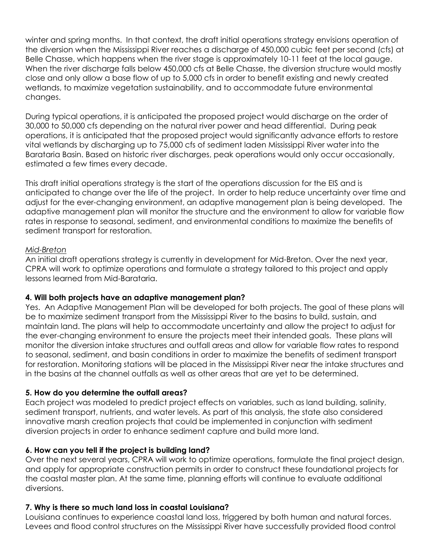winter and spring months. In that context, the draft initial operations strategy envisions operation of the diversion when the Mississippi River reaches a discharge of 450,000 cubic feet per second (cfs) at Belle Chasse, which happens when the river stage is approximately 10-11 feet at the local gauge. When the river discharge falls below 450,000 cfs at Belle Chasse, the diversion structure would mostly close and only allow a base flow of up to 5,000 cfs in order to benefit existing and newly created wetlands, to maximize vegetation sustainability, and to accommodate future environmental changes.

During typical operations, it is anticipated the proposed project would discharge on the order of 30,000 to 50,000 cfs depending on the natural river power and head differential. During peak operations, it is anticipated that the proposed project would significantly advance efforts to restore vital wetlands by discharging up to 75,000 cfs of sediment laden Mississippi River water into the Barataria Basin. Based on historic river discharges, peak operations would only occur occasionally, estimated a few times every decade.

This draft initial operations strategy is the start of the operations discussion for the EIS and is anticipated to change over the life of the project. In order to help reduce uncertainty over time and adjust for the ever-changing environment, an adaptive management plan is being developed. The adaptive management plan will monitor the structure and the environment to allow for variable flow rates in response to seasonal, sediment, and environmental conditions to maximize the benefits of sediment transport for restoration.

#### *Mid-Breton*

An initial draft operations strategy is currently in development for Mid-Breton. Over the next year, CPRA will work to optimize operations and formulate a strategy tailored to this project and apply lessons learned from Mid-Barataria.

## **4. Will both projects have an adaptive management plan?**

Yes. An Adaptive Management Plan will be developed for both projects. The goal of these plans will be to maximize sediment transport from the Mississippi River to the basins to build, sustain, and maintain land. The plans will help to accommodate uncertainty and allow the project to adjust for the ever-changing environment to ensure the projects meet their intended goals. These plans will monitor the diversion intake structures and outfall areas and allow for variable flow rates to respond to seasonal, sediment, and basin conditions in order to maximize the benefits of sediment transport for restoration. Monitoring stations will be placed in the Mississippi River near the intake structures and in the basins at the channel outfalls as well as other areas that are yet to be determined.

## **5. How do you determine the outfall areas?**

Each project was modeled to predict project effects on variables, such as land building, salinity, sediment transport, nutrients, and water levels. As part of this analysis, the state also considered innovative marsh creation projects that could be implemented in conjunction with sediment diversion projects in order to enhance sediment capture and build more land.

## **6. How can you tell if the project is building land?**

Over the next several years, CPRA will work to optimize operations, formulate the final project design, and apply for appropriate construction permits in order to construct these foundational projects for the coastal master plan. At the same time, planning efforts will continue to evaluate additional diversions.

## **7. Why is there so much land loss in coastal Louisiana?**

Louisiana continues to experience coastal land loss, triggered by both human and natural forces. Levees and flood control structures on the Mississippi River have successfully provided flood control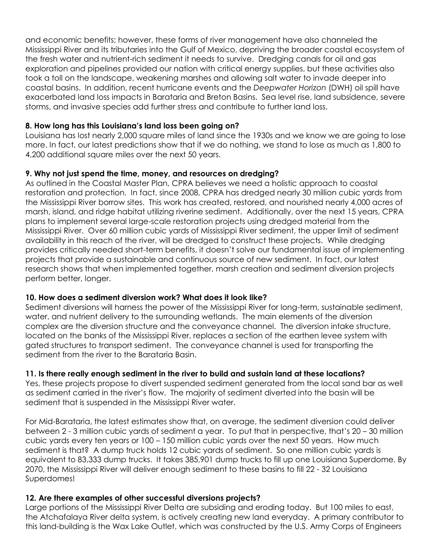and economic benefits; however, these forms of river management have also channeled the Mississippi River and its tributaries into the Gulf of Mexico, depriving the broader coastal ecosystem of the fresh water and nutrient-rich sediment it needs to survive. Dredging canals for oil and gas exploration and pipelines provided our nation with critical energy supplies, but these activities also took a toll on the landscape, weakening marshes and allowing salt water to invade deeper into coastal basins. In addition, recent hurricane events and the *Deepwater Horizon* (DWH) oil spill have exacerbated land loss impacts in Barataria and Breton Basins. Sea level rise, land subsidence, severe storms, and invasive species add further stress and contribute to further land loss.

## **8. How long has this Louisiana's land loss been going on?**

Louisiana has lost nearly 2,000 square miles of land since the 1930s and we know we are going to lose more. In fact, our latest predictions show that if we do nothing, we stand to lose as much as 1,800 to 4,200 additional square miles over the next 50 years.

## **9. Why not just spend the time, money, and resources on dredging?**

As outlined in the Coastal Master Plan, CPRA believes we need a holistic approach to coastal restoration and protection. In fact, since 2008, CPRA has dredged nearly 30 million cubic yards from the Mississippi River borrow sites. This work has created, restored, and nourished nearly 4,000 acres of marsh, island, and ridge habitat utilizing riverine sediment. Additionally, over the next 15 years, CPRA plans to implement several large-scale restoration projects using dredged material from the Mississippi River. Over 60 million cubic yards of Mississippi River sediment, the upper limit of sediment availability in this reach of the river, will be dredged to construct these projects. While dredging provides critically needed short-term benefits, it doesn't solve our fundamental issue of implementing projects that provide a sustainable and continuous source of new sediment. In fact, our latest research shows that when implemented together, marsh creation and sediment diversion projects perform better, longer.

# **10. How does a sediment diversion work? What does it look like?**

Sediment diversions will harness the power of the Mississippi River for long-term, sustainable sediment, water, and nutrient delivery to the surrounding wetlands. The main elements of the diversion complex are the diversion structure and the conveyance channel. The diversion intake structure, located on the banks of the Mississippi River, replaces a section of the earthen levee system with gated structures to transport sediment. The conveyance channel is used for transporting the sediment from the river to the Barataria Basin.

# **11. Is there really enough sediment in the river to build and sustain land at these locations?**

Yes, these projects propose to divert suspended sediment generated from the local sand bar as well as sediment carried in the river's flow. The majority of sediment diverted into the basin will be sediment that is suspended in the Mississippi River water.

For Mid-Barataria, the latest estimates show that, on average, the sediment diversion could deliver between 2 - 3 million cubic yards of sediment a year. To put that in perspective, that's 20 – 30 million cubic yards every ten years or 100 – 150 million cubic yards over the next 50 years. How much sediment is that? A dump truck holds 12 cubic yards of sediment. So one million cubic yards is equivalent to 83,333 dump trucks. It takes 385,901 dump trucks to fill up one Louisiana Superdome. By 2070, the Mississippi River will deliver enough sediment to these basins to fill 22 - 32 Louisiana Superdomes!

# **12. Are there examples of other successful diversions projects?**

Large portions of the Mississippi River Delta are subsiding and eroding today. But 100 miles to east, the Atchafalaya River delta system, is actively creating new land everyday. A primary contributor to this land-building is the Wax Lake Outlet, which was constructed by the U.S. Army Corps of Engineers